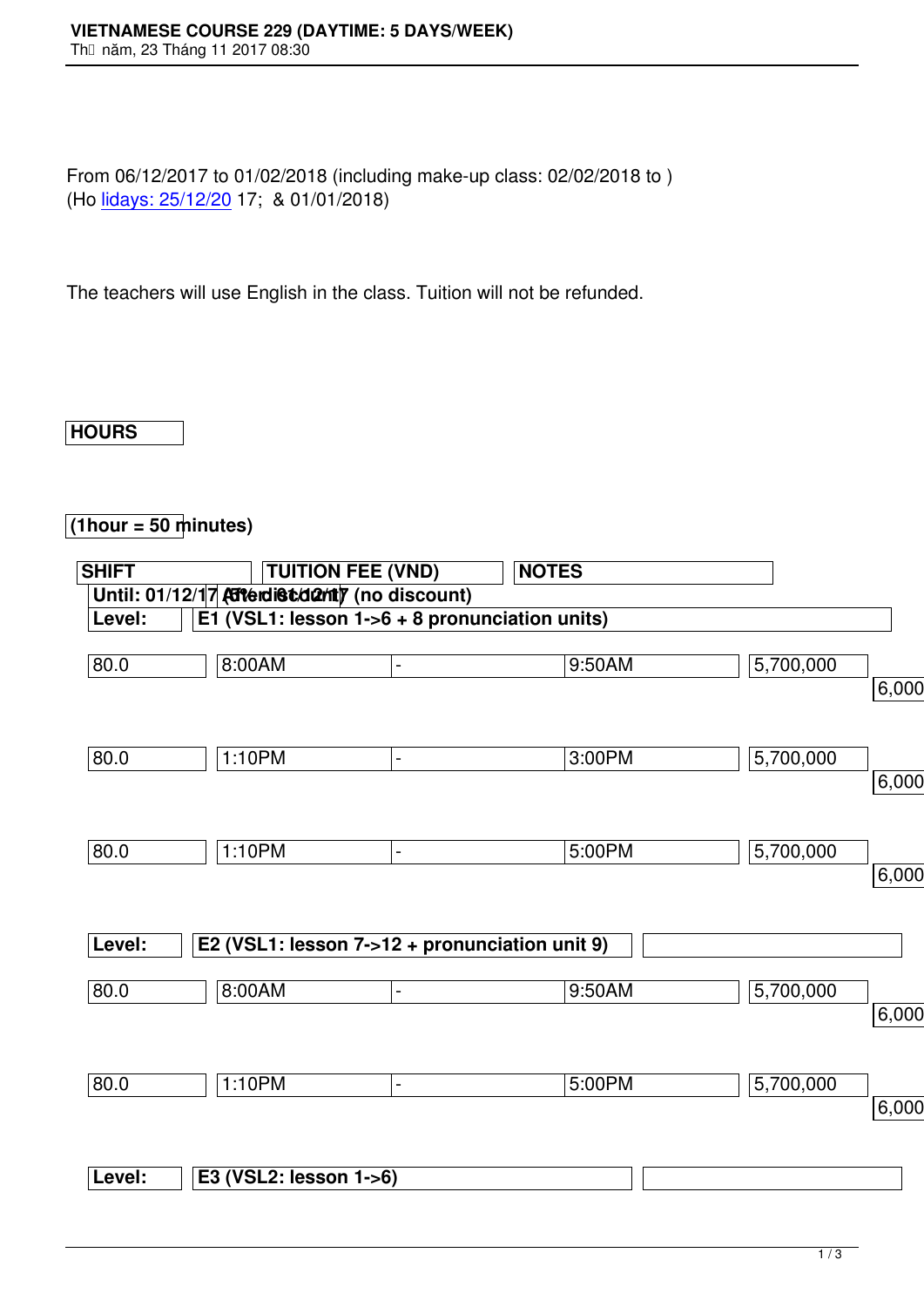From 06/12/2017 to 01/02/2018 (including make-up class: 02/02/2018 to ) (Ho lidays: 25/12/20 17; & 01/01/2018)

The [teachers will use](http://www.vns.edu.vn/) English in the class. Tuition will not be refunded.

## **HOURS**

## **(1hour = 50 minutes)**

| <b>SHIFT</b> |                        | <b>TUITION FEE (VND)</b>                      | <b>NOTES</b>                                    |           |          |
|--------------|------------------------|-----------------------------------------------|-------------------------------------------------|-----------|----------|
|              |                        | Until: 01/12/17 Atterdist danty (no discount) |                                                 |           |          |
| Level:       |                        |                                               | E1 (VSL1: lesson $1-6 + 8$ pronunciation units) |           |          |
| 80.0         | $8:00A\overline{M}$    | $\blacksquare$                                | 9:50AM                                          | 5,700,000 |          |
|              |                        |                                               |                                                 |           | 6,000,00 |
|              |                        |                                               |                                                 |           |          |
| 80.0         | 1:10PM                 | $\blacksquare$                                | 3:00PM                                          | 5,700,000 |          |
|              |                        |                                               |                                                 |           | 6,000,00 |
|              |                        |                                               |                                                 |           |          |
| 80.0         | 1:10PM                 | $\blacksquare$                                | 5:00PM                                          | 5,700,000 |          |
|              |                        |                                               |                                                 |           | 6,000,00 |
|              |                        |                                               |                                                 |           |          |
| Level:       |                        |                                               | E2 (VSL1: lesson 7->12 + pronunciation unit 9)  |           |          |
| 80.0         | 8:00AM                 | $\overline{a}$                                | 9:50AM                                          | 5,700,000 |          |
|              |                        |                                               |                                                 |           | 6,000,00 |
|              |                        |                                               |                                                 |           |          |
| 80.0         | 1:10PM                 | $\blacksquare$                                | 5:00PM                                          | 5,700,000 |          |
|              |                        |                                               |                                                 |           | 6,000,00 |
|              |                        |                                               |                                                 |           |          |
| Level:       | E3 (VSL2: lesson 1->6) |                                               |                                                 |           |          |
|              |                        |                                               |                                                 |           |          |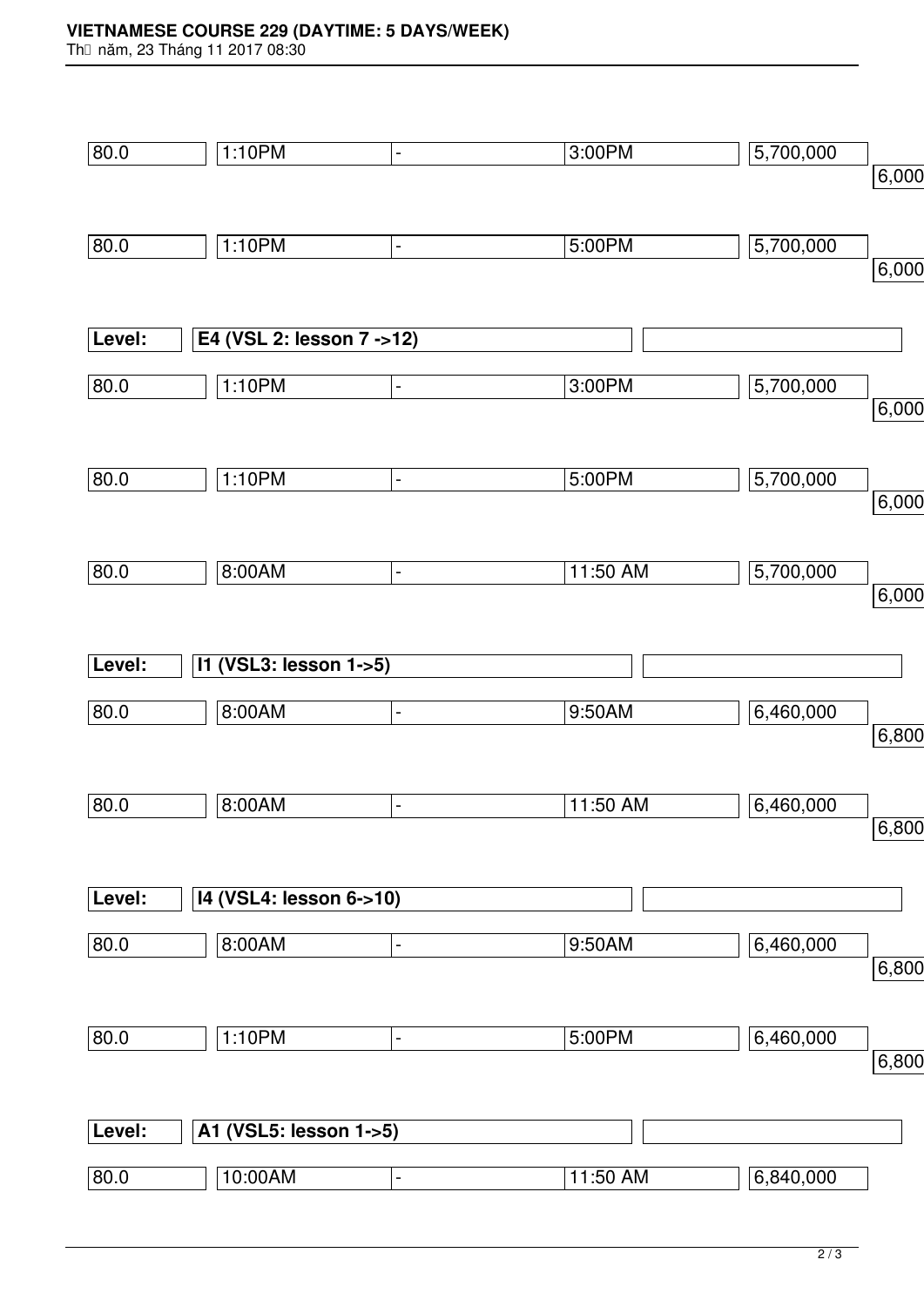## **VIETNAMESE COURSE 229 (DAYTIME: 5 DAYS/WEEK)**

Th⊡ năm, 23 Tháng 11 2017 08:30

| 80.0   | 1:10PM<br>$\blacksquare$  | 3:00PM   | 5,700,000 |       |
|--------|---------------------------|----------|-----------|-------|
|        |                           |          |           | 6,000 |
|        |                           |          |           |       |
| 80.0   | 1:10PM<br>$\blacksquare$  | 5:00PM   | 5,700,000 |       |
|        |                           |          |           | 6,000 |
|        |                           |          |           |       |
| Level: | E4 (VSL 2: lesson 7 ->12) |          |           |       |
| 80.0   | 1:10PM<br>$\blacksquare$  | 3:00PM   | 5,700,000 |       |
|        |                           |          |           | 6,000 |
|        |                           |          |           |       |
| 80.0   | 1:10PM<br>$\blacksquare$  | 5:00PM   | 5,700,000 | 6,000 |
|        |                           |          |           |       |
| 80.0   | 8:00AM<br>$\blacksquare$  | 11:50 AM | 5,700,000 |       |
|        |                           |          |           | 6,000 |
|        |                           |          |           |       |
| Level: | 11 (VSL3: lesson 1->5)    |          |           |       |
| 80.0   | 8:00AM<br>$\blacksquare$  | 9:50AM   | 6,460,000 |       |
|        |                           |          |           | 6,800 |
|        |                           |          |           |       |
| 80.0   | 8:00AM<br>$\blacksquare$  | 11:50 AM | 6,460,000 |       |
|        |                           |          |           | 6,800 |
|        |                           |          |           |       |
| Level: | 14 (VSL4: lesson 6->10)   |          |           |       |
| 80.0   | 8:00AM<br>$\blacksquare$  | 9:50AM   | 6,460,000 |       |
|        |                           |          |           | 6,800 |
|        |                           |          |           |       |
| 80.0   | 1:10PM<br>$\blacksquare$  | 5:00PM   | 6,460,000 |       |
|        |                           |          |           | 6,800 |
|        |                           |          |           |       |
| Level: | A1 (VSL5: lesson 1->5)    |          |           |       |
| 80.0   | 10:00AM<br>÷,             | 11:50 AM | 6,840,000 |       |
|        |                           |          |           |       |